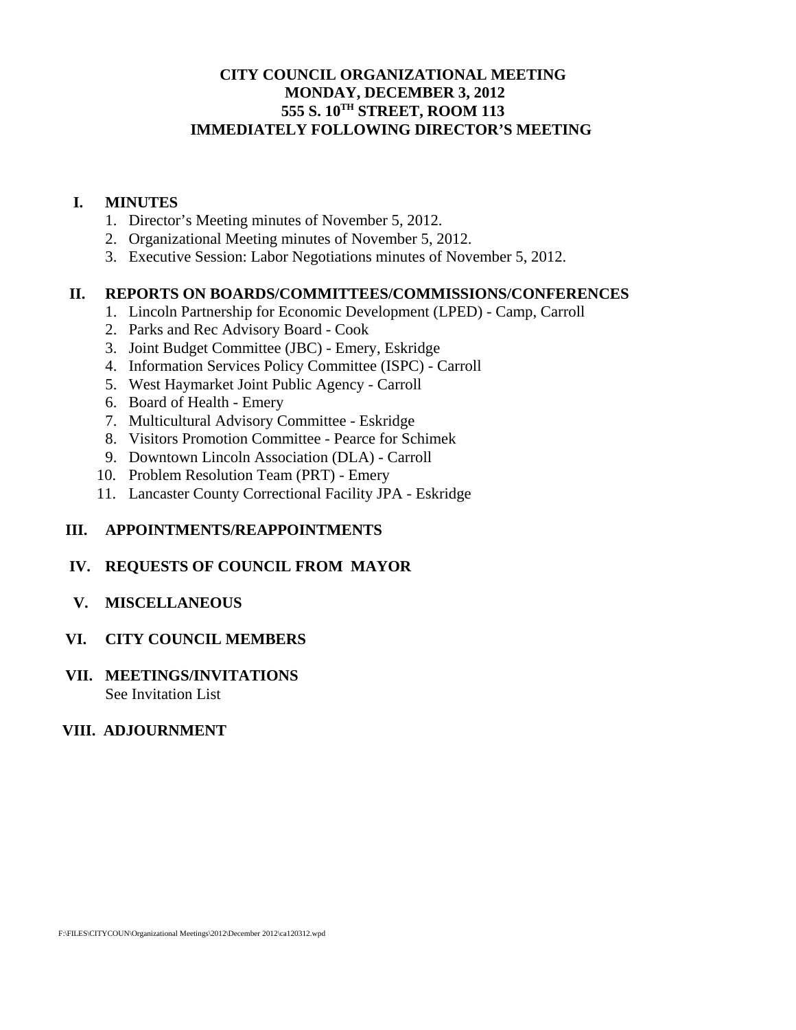# **CITY COUNCIL ORGANIZATIONAL MEETING MONDAY, DECEMBER 3, 2012 555 S. 10TH STREET, ROOM 113 IMMEDIATELY FOLLOWING DIRECTOR'S MEETING**

#### **I. MINUTES**

- 1. Director's Meeting minutes of November 5, 2012.
- 2. Organizational Meeting minutes of November 5, 2012.
- 3. Executive Session: Labor Negotiations minutes of November 5, 2012.

#### **II. REPORTS ON BOARDS/COMMITTEES/COMMISSIONS/CONFERENCES**

- 1. Lincoln Partnership for Economic Development (LPED) Camp, Carroll
- 2. Parks and Rec Advisory Board Cook
- 3. Joint Budget Committee (JBC) Emery, Eskridge
- 4. Information Services Policy Committee (ISPC) Carroll
- 5. West Haymarket Joint Public Agency Carroll
- 6. Board of Health Emery
- 7. Multicultural Advisory Committee Eskridge
- 8. Visitors Promotion Committee Pearce for Schimek
- 9. Downtown Lincoln Association (DLA) Carroll
- 10. Problem Resolution Team (PRT) Emery
- 11. Lancaster County Correctional Facility JPA Eskridge

#### **III. APPOINTMENTS/REAPPOINTMENTS**

#### **IV. REQUESTS OF COUNCIL FROM MAYOR**

#### **V. MISCELLANEOUS**

#### **VI. CITY COUNCIL MEMBERS**

#### **VII. MEETINGS/INVITATIONS**  See Invitation List

#### **VIII. ADJOURNMENT**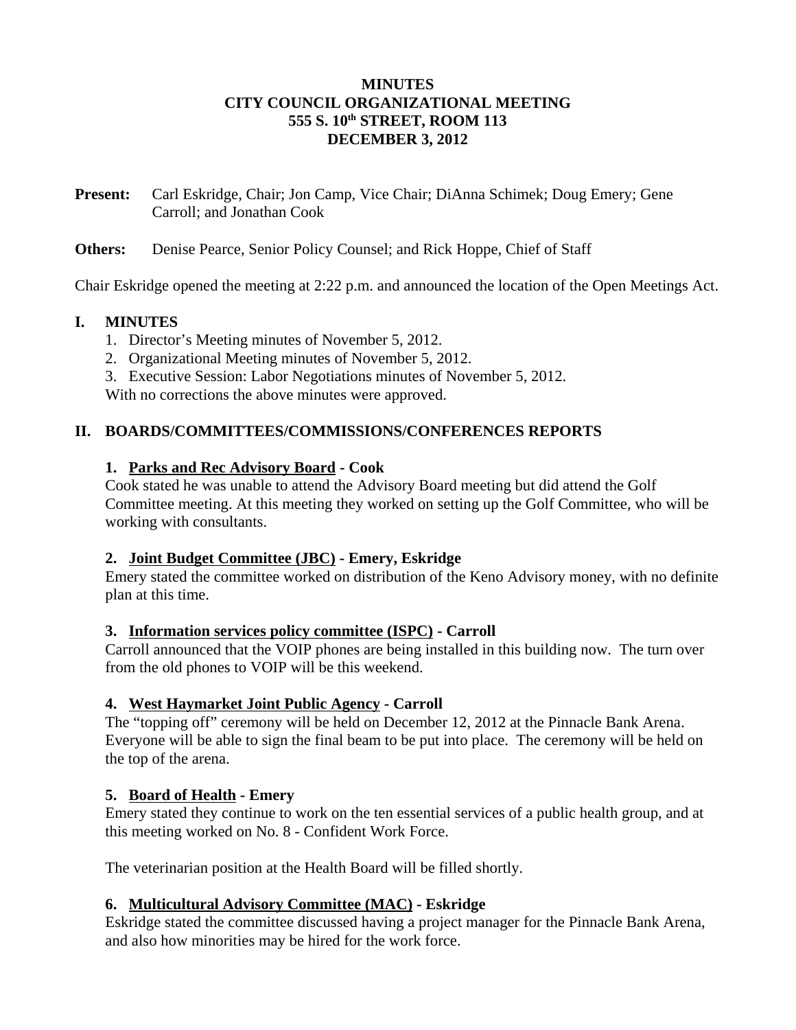## **MINUTES CITY COUNCIL ORGANIZATIONAL MEETING 555 S. 10th STREET, ROOM 113 DECEMBER 3, 2012**

**Present:** Carl Eskridge, Chair; Jon Camp, Vice Chair; DiAnna Schimek; Doug Emery; Gene Carroll; and Jonathan Cook

## **Others:** Denise Pearce, Senior Policy Counsel; and Rick Hoppe, Chief of Staff

Chair Eskridge opened the meeting at 2:22 p.m. and announced the location of the Open Meetings Act.

## **I. MINUTES**

- 1. Director's Meeting minutes of November 5, 2012.
- 2. Organizational Meeting minutes of November 5, 2012.
- 3. Executive Session: Labor Negotiations minutes of November 5, 2012.

With no corrections the above minutes were approved.

## **II. BOARDS/COMMITTEES/COMMISSIONS/CONFERENCES REPORTS**

## **1. Parks and Rec Advisory Board - Cook**

Cook stated he was unable to attend the Advisory Board meeting but did attend the Golf Committee meeting. At this meeting they worked on setting up the Golf Committee, who will be working with consultants.

#### **2. Joint Budget Committee (JBC) - Emery, Eskridge**

Emery stated the committee worked on distribution of the Keno Advisory money, with no definite plan at this time.

#### **3. Information services policy committee (ISPC) - Carroll**

Carroll announced that the VOIP phones are being installed in this building now. The turn over from the old phones to VOIP will be this weekend.

# **4. West Haymarket Joint Public Agency - Carroll**

The "topping off" ceremony will be held on December 12, 2012 at the Pinnacle Bank Arena. Everyone will be able to sign the final beam to be put into place. The ceremony will be held on the top of the arena.

# **5. Board of Health - Emery**

Emery stated they continue to work on the ten essential services of a public health group, and at this meeting worked on No. 8 - Confident Work Force.

The veterinarian position at the Health Board will be filled shortly.

# **6. Multicultural Advisory Committee (MAC) - Eskridge**

Eskridge stated the committee discussed having a project manager for the Pinnacle Bank Arena, and also how minorities may be hired for the work force.